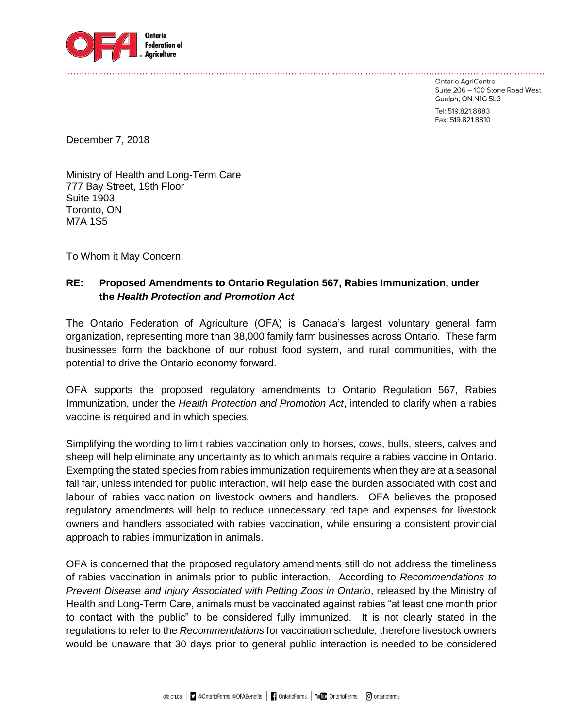

Ontario AgriCentre Suite 206 - 100 Stone Road West Guelph, ON N1G 5L3

Tel: 519.821.8883 Fax: 519.821.8810

December 7, 2018

Ministry of Health and Long-Term Care 777 Bay Street, 19th Floor Suite 1903 Toronto, ON M7A 1S5

To Whom it May Concern:

## **RE: Proposed Amendments to Ontario Regulation 567, Rabies Immunization, under the** *Health Protection and Promotion Act*

The Ontario Federation of Agriculture (OFA) is Canada's largest voluntary general farm organization, representing more than 38,000 family farm businesses across Ontario. These farm businesses form the backbone of our robust food system, and rural communities, with the potential to drive the Ontario economy forward.

OFA supports the proposed regulatory amendments to Ontario Regulation 567, Rabies Immunization, under the *Health Protection and Promotion Act*, intended to clarify when a rabies vaccine is required and in which species*.*

Simplifying the wording to limit rabies vaccination only to horses, cows, bulls, steers, calves and sheep will help eliminate any uncertainty as to which animals require a rabies vaccine in Ontario. Exempting the stated species from rabies immunization requirements when they are at a seasonal fall fair, unless intended for public interaction, will help ease the burden associated with cost and labour of rabies vaccination on livestock owners and handlers. OFA believes the proposed regulatory amendments will help to reduce unnecessary red tape and expenses for livestock owners and handlers associated with rabies vaccination, while ensuring a consistent provincial approach to rabies immunization in animals.

OFA is concerned that the proposed regulatory amendments still do not address the timeliness of rabies vaccination in animals prior to public interaction. According to *Recommendations to Prevent Disease and Injury Associated with Petting Zoos in Ontario*, released by the Ministry of Health and Long-Term Care, animals must be vaccinated against rabies "at least one month prior to contact with the public" to be considered fully immunized. It is not clearly stated in the regulations to refer to the *Recommendations* for vaccination schedule, therefore livestock owners would be unaware that 30 days prior to general public interaction is needed to be considered